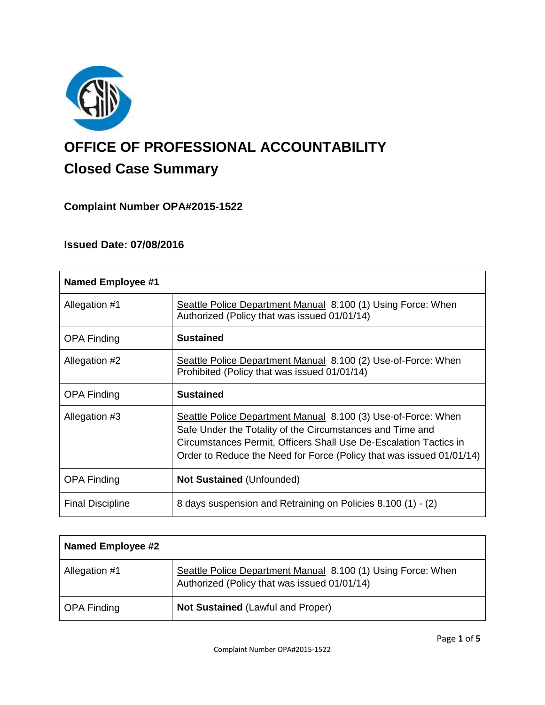

# **OFFICE OF PROFESSIONAL ACCOUNTABILITY Closed Case Summary**

# **Complaint Number OPA#2015-1522**

## **Issued Date: 07/08/2016**

| <b>Named Employee #1</b> |                                                                                                                                                                                                                                                                         |
|--------------------------|-------------------------------------------------------------------------------------------------------------------------------------------------------------------------------------------------------------------------------------------------------------------------|
| Allegation #1            | Seattle Police Department Manual 8.100 (1) Using Force: When<br>Authorized (Policy that was issued 01/01/14)                                                                                                                                                            |
| <b>OPA Finding</b>       | <b>Sustained</b>                                                                                                                                                                                                                                                        |
| Allegation #2            | Seattle Police Department Manual 8.100 (2) Use-of-Force: When<br>Prohibited (Policy that was issued 01/01/14)                                                                                                                                                           |
| <b>OPA Finding</b>       | <b>Sustained</b>                                                                                                                                                                                                                                                        |
| Allegation #3            | Seattle Police Department Manual 8.100 (3) Use-of-Force: When<br>Safe Under the Totality of the Circumstances and Time and<br>Circumstances Permit, Officers Shall Use De-Escalation Tactics in<br>Order to Reduce the Need for Force (Policy that was issued 01/01/14) |
| <b>OPA Finding</b>       | <b>Not Sustained (Unfounded)</b>                                                                                                                                                                                                                                        |
| <b>Final Discipline</b>  | 8 days suspension and Retraining on Policies 8.100 (1) - (2)                                                                                                                                                                                                            |

| <b>Named Employee #2</b> |                                                                                                              |
|--------------------------|--------------------------------------------------------------------------------------------------------------|
| Allegation #1            | Seattle Police Department Manual 8.100 (1) Using Force: When<br>Authorized (Policy that was issued 01/01/14) |
| <b>OPA Finding</b>       | Not Sustained (Lawful and Proper)                                                                            |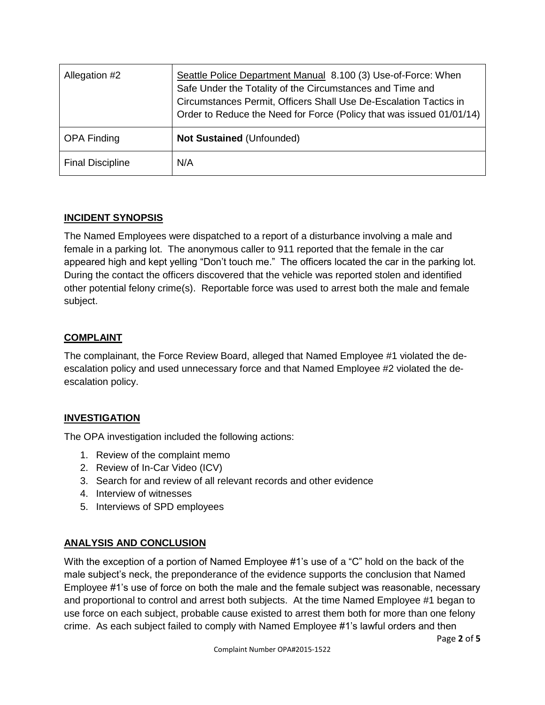| Allegation #2           | Seattle Police Department Manual 8.100 (3) Use-of-Force: When<br>Safe Under the Totality of the Circumstances and Time and<br>Circumstances Permit, Officers Shall Use De-Escalation Tactics in<br>Order to Reduce the Need for Force (Policy that was issued 01/01/14) |
|-------------------------|-------------------------------------------------------------------------------------------------------------------------------------------------------------------------------------------------------------------------------------------------------------------------|
| <b>OPA Finding</b>      | <b>Not Sustained (Unfounded)</b>                                                                                                                                                                                                                                        |
| <b>Final Discipline</b> | N/A                                                                                                                                                                                                                                                                     |

## **INCIDENT SYNOPSIS**

The Named Employees were dispatched to a report of a disturbance involving a male and female in a parking lot. The anonymous caller to 911 reported that the female in the car appeared high and kept yelling "Don't touch me." The officers located the car in the parking lot. During the contact the officers discovered that the vehicle was reported stolen and identified other potential felony crime(s). Reportable force was used to arrest both the male and female subject.

## **COMPLAINT**

The complainant, the Force Review Board, alleged that Named Employee #1 violated the deescalation policy and used unnecessary force and that Named Employee #2 violated the deescalation policy.

# **INVESTIGATION**

The OPA investigation included the following actions:

- 1. Review of the complaint memo
- 2. Review of In-Car Video (ICV)
- 3. Search for and review of all relevant records and other evidence
- 4. Interview of witnesses
- 5. Interviews of SPD employees

# **ANALYSIS AND CONCLUSION**

With the exception of a portion of Named Employee #1's use of a "C" hold on the back of the male subject's neck, the preponderance of the evidence supports the conclusion that Named Employee #1's use of force on both the male and the female subject was reasonable, necessary and proportional to control and arrest both subjects. At the time Named Employee #1 began to use force on each subject, probable cause existed to arrest them both for more than one felony crime. As each subject failed to comply with Named Employee #1's lawful orders and then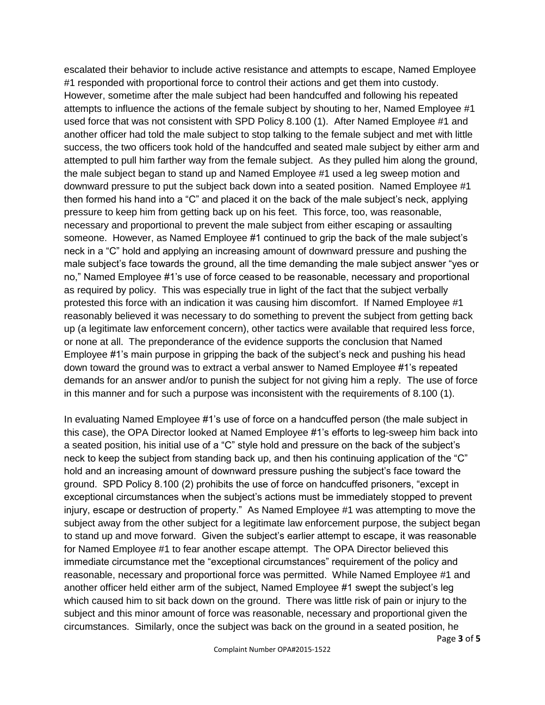escalated their behavior to include active resistance and attempts to escape, Named Employee #1 responded with proportional force to control their actions and get them into custody. However, sometime after the male subject had been handcuffed and following his repeated attempts to influence the actions of the female subject by shouting to her, Named Employee #1 used force that was not consistent with SPD Policy 8.100 (1). After Named Employee #1 and another officer had told the male subject to stop talking to the female subject and met with little success, the two officers took hold of the handcuffed and seated male subject by either arm and attempted to pull him farther way from the female subject. As they pulled him along the ground, the male subject began to stand up and Named Employee #1 used a leg sweep motion and downward pressure to put the subject back down into a seated position. Named Employee #1 then formed his hand into a "C" and placed it on the back of the male subject's neck, applying pressure to keep him from getting back up on his feet. This force, too, was reasonable, necessary and proportional to prevent the male subject from either escaping or assaulting someone. However, as Named Employee #1 continued to grip the back of the male subject's neck in a "C" hold and applying an increasing amount of downward pressure and pushing the male subject's face towards the ground, all the time demanding the male subject answer "yes or no," Named Employee #1's use of force ceased to be reasonable, necessary and proportional as required by policy. This was especially true in light of the fact that the subject verbally protested this force with an indication it was causing him discomfort. If Named Employee #1 reasonably believed it was necessary to do something to prevent the subject from getting back up (a legitimate law enforcement concern), other tactics were available that required less force, or none at all. The preponderance of the evidence supports the conclusion that Named Employee #1's main purpose in gripping the back of the subject's neck and pushing his head down toward the ground was to extract a verbal answer to Named Employee #1's repeated demands for an answer and/or to punish the subject for not giving him a reply. The use of force in this manner and for such a purpose was inconsistent with the requirements of 8.100 (1).

In evaluating Named Employee #1's use of force on a handcuffed person (the male subject in this case), the OPA Director looked at Named Employee #1's efforts to leg-sweep him back into a seated position, his initial use of a "C" style hold and pressure on the back of the subject's neck to keep the subject from standing back up, and then his continuing application of the "C" hold and an increasing amount of downward pressure pushing the subject's face toward the ground. SPD Policy 8.100 (2) prohibits the use of force on handcuffed prisoners, "except in exceptional circumstances when the subject's actions must be immediately stopped to prevent injury, escape or destruction of property." As Named Employee #1 was attempting to move the subject away from the other subject for a legitimate law enforcement purpose, the subject began to stand up and move forward. Given the subject's earlier attempt to escape, it was reasonable for Named Employee #1 to fear another escape attempt. The OPA Director believed this immediate circumstance met the "exceptional circumstances" requirement of the policy and reasonable, necessary and proportional force was permitted. While Named Employee #1 and another officer held either arm of the subject, Named Employee #1 swept the subject's leg which caused him to sit back down on the ground. There was little risk of pain or injury to the subject and this minor amount of force was reasonable, necessary and proportional given the circumstances. Similarly, once the subject was back on the ground in a seated position, he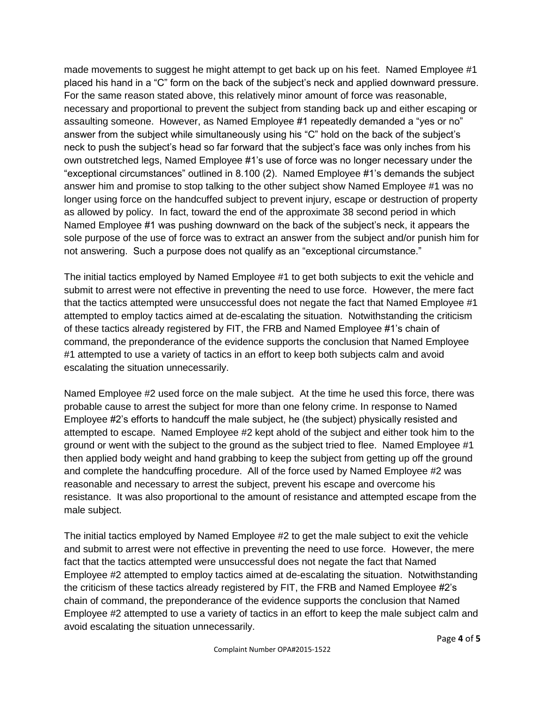made movements to suggest he might attempt to get back up on his feet. Named Employee #1 placed his hand in a "C" form on the back of the subject's neck and applied downward pressure. For the same reason stated above, this relatively minor amount of force was reasonable, necessary and proportional to prevent the subject from standing back up and either escaping or assaulting someone. However, as Named Employee #1 repeatedly demanded a "yes or no" answer from the subject while simultaneously using his "C" hold on the back of the subject's neck to push the subject's head so far forward that the subject's face was only inches from his own outstretched legs, Named Employee #1's use of force was no longer necessary under the "exceptional circumstances" outlined in 8.100 (2). Named Employee #1's demands the subject answer him and promise to stop talking to the other subject show Named Employee #1 was no longer using force on the handcuffed subject to prevent injury, escape or destruction of property as allowed by policy. In fact, toward the end of the approximate 38 second period in which Named Employee #1 was pushing downward on the back of the subject's neck, it appears the sole purpose of the use of force was to extract an answer from the subject and/or punish him for not answering. Such a purpose does not qualify as an "exceptional circumstance."

The initial tactics employed by Named Employee #1 to get both subjects to exit the vehicle and submit to arrest were not effective in preventing the need to use force. However, the mere fact that the tactics attempted were unsuccessful does not negate the fact that Named Employee #1 attempted to employ tactics aimed at de-escalating the situation. Notwithstanding the criticism of these tactics already registered by FIT, the FRB and Named Employee #1's chain of command, the preponderance of the evidence supports the conclusion that Named Employee #1 attempted to use a variety of tactics in an effort to keep both subjects calm and avoid escalating the situation unnecessarily.

Named Employee #2 used force on the male subject. At the time he used this force, there was probable cause to arrest the subject for more than one felony crime. In response to Named Employee #2's efforts to handcuff the male subject, he (the subject) physically resisted and attempted to escape. Named Employee #2 kept ahold of the subject and either took him to the ground or went with the subject to the ground as the subject tried to flee. Named Employee #1 then applied body weight and hand grabbing to keep the subject from getting up off the ground and complete the handcuffing procedure. All of the force used by Named Employee #2 was reasonable and necessary to arrest the subject, prevent his escape and overcome his resistance. It was also proportional to the amount of resistance and attempted escape from the male subject.

The initial tactics employed by Named Employee #2 to get the male subject to exit the vehicle and submit to arrest were not effective in preventing the need to use force. However, the mere fact that the tactics attempted were unsuccessful does not negate the fact that Named Employee #2 attempted to employ tactics aimed at de-escalating the situation. Notwithstanding the criticism of these tactics already registered by FIT, the FRB and Named Employee #2's chain of command, the preponderance of the evidence supports the conclusion that Named Employee #2 attempted to use a variety of tactics in an effort to keep the male subject calm and avoid escalating the situation unnecessarily.